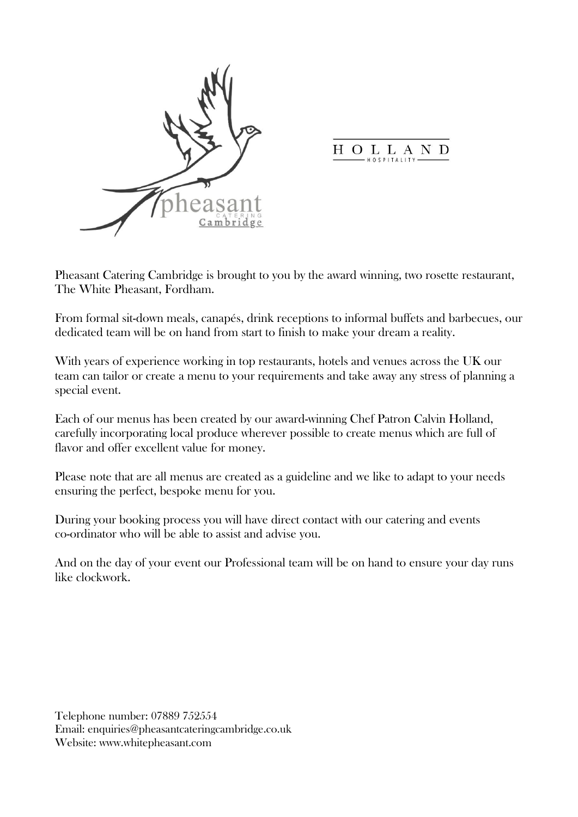

O L L A N H D

Pheasant Catering Cambridge is brought to you by the award winning, two rosette restaurant, The White Pheasant, Fordham.

From formal sit-down meals, canapés, drink receptions to informal buffets and barbecues, our dedicated team will be on hand from start to finish to make your dream a reality.

With years of experience working in top restaurants, hotels and venues across the UK our team can tailor or create a menu to your requirements and take away any stress of planning a special event.

Each of our menus has been created by our award-winning Chef Patron Calvin Holland, carefully incorporating local produce wherever possible to create menus which are full of flavor and offer excellent value for money.

Please note that are all menus are created as a guideline and we like to adapt to your needs ensuring the perfect, bespoke menu for you.

During your booking process you will have direct contact with our catering and events co-ordinator who will be able to assist and advise you.

And on the day of your event our Professional team will be on hand to ensure your day runs like clockwork.

Telephone number: 07889 752554 Email: enquiries@pheasantcateringcambridge.co.uk Website: www.whitepheasant.com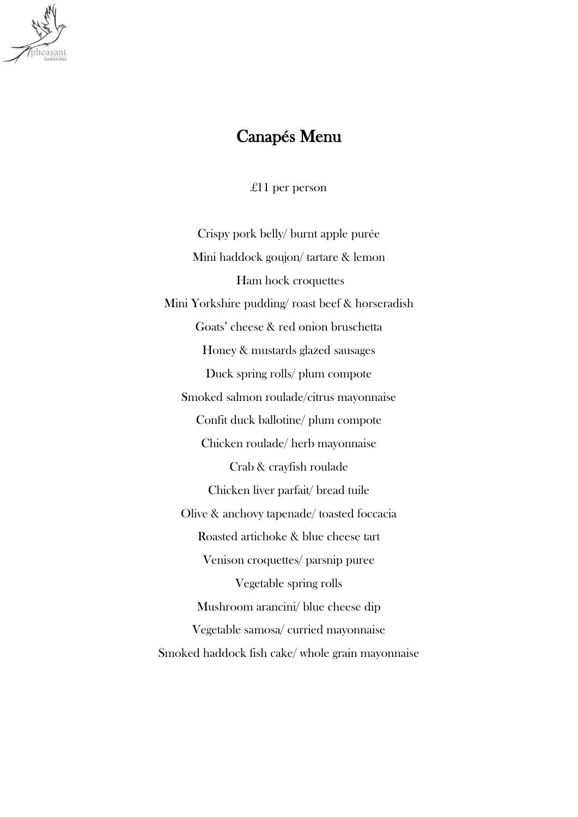

## Canapés Menu

£11 per person

Crispy pork belly/ burnt apple purée Mini haddock goujon/ tartare & lemon Ham hock croquettes Mini Yorkshire pudding/ roast beef & horseradish Goats' cheese & red onion bruschetta Honey & mustards glazed sausages Duck spring rolls/ plum compote Smoked salmon roulade/citrus mayonnaise Confit duck ballotine/ plum compote Chicken roulade/ herb mayonnaise Crab & crayfish roulade Chicken liver parfait/ bread tuile Olive & anchovy tapenade/ toasted foccacia Roasted artichoke & blue cheese tart Venison croquettes/ parsnip puree Vegetable spring rolls Mushroom arancini/ blue cheese dip Vegetable samosa/ curried mayonnaise Smoked haddock fish cake/ whole grain mayonnaise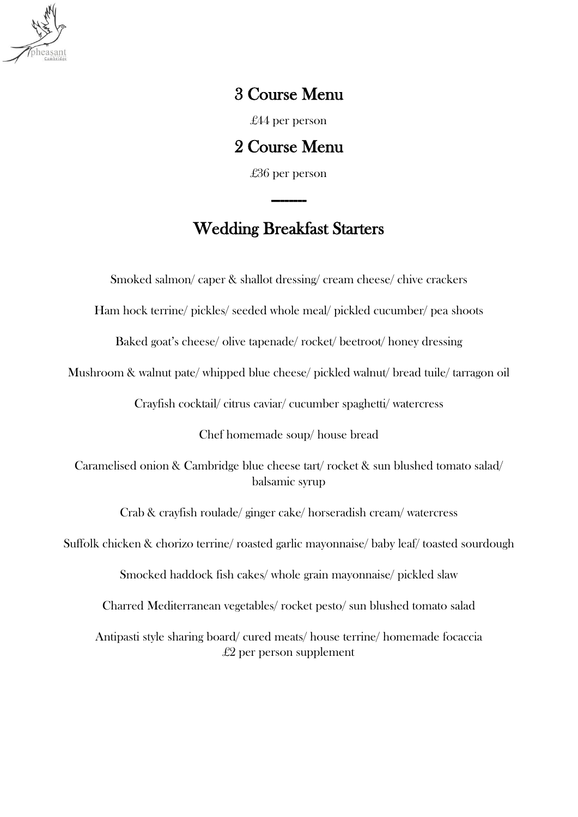

## 3 Course Menu

£44 per person

2 Course Menu

£36 per person

--------

### Wedding Breakfast Starters

Smoked salmon/ caper & shallot dressing/ cream cheese/ chive crackers

Ham hock terrine/ pickles/ seeded whole meal/ pickled cucumber/ pea shoots

Baked goat's cheese/ olive tapenade/ rocket/ beetroot/ honey dressing

Mushroom & walnut pate/ whipped blue cheese/ pickled walnut/ bread tuile/ tarragon oil

Crayfish cocktail/ citrus caviar/ cucumber spaghetti/ watercress

Chef homemade soup/ house bread

Caramelised onion & Cambridge blue cheese tart/ rocket & sun blushed tomato salad/ balsamic syrup

Crab & crayfish roulade/ ginger cake/ horseradish cream/ watercress

Suffolk chicken & chorizo terrine/ roasted garlic mayonnaise/ baby leaf/ toasted sourdough

Smocked haddock fish cakes/ whole grain mayonnaise/ pickled slaw

Charred Mediterranean vegetables/ rocket pesto/ sun blushed tomato salad

Antipasti style sharing board/ cured meats/ house terrine/ homemade focaccia  $£2$  per person supplement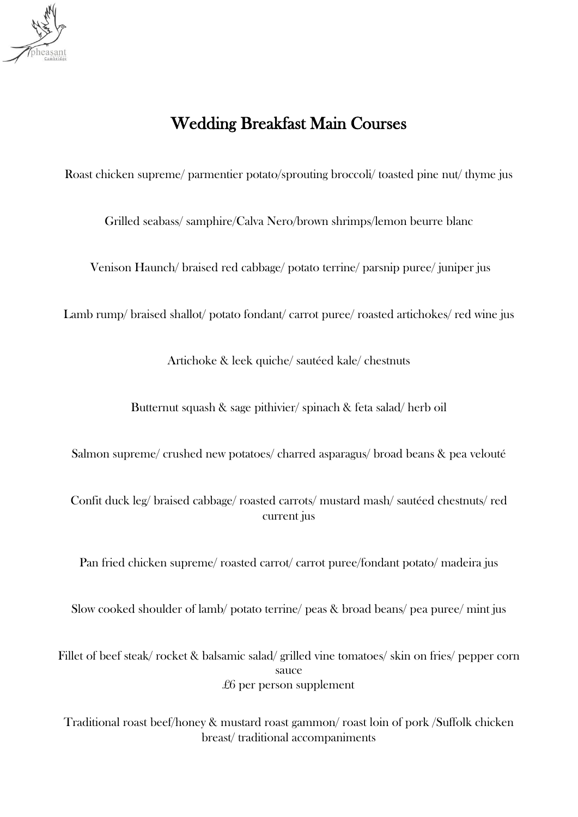

# Wedding Breakfast Main Courses

Roast chicken supreme/ parmentier potato/sprouting broccoli/ toasted pine nut/ thyme jus

Grilled seabass/ samphire/Calva Nero/brown shrimps/lemon beurre blanc

Venison Haunch/ braised red cabbage/ potato terrine/ parsnip puree/ juniper jus

Lamb rump/ braised shallot/ potato fondant/ carrot puree/ roasted artichokes/ red wine jus

Artichoke & leek quiche/ sautéed kale/ chestnuts

Butternut squash & sage pithivier/ spinach & feta salad/ herb oil

Salmon supreme/ crushed new potatoes/ charred asparagus/ broad beans & pea velouté

Confit duck leg/ braised cabbage/ roasted carrots/ mustard mash/ sautéed chestnuts/ red current jus

Pan fried chicken supreme/ roasted carrot/ carrot puree/fondant potato/ madeira jus

Slow cooked shoulder of lamb/ potato terrine/ peas & broad beans/ pea puree/ mint jus

Fillet of beef steak/rocket & balsamic salad/ grilled vine tomatoes/ skin on fries/ pepper corn sauce £6 per person supplement

Traditional roast beef/honey & mustard roast gammon/ roast loin of pork /Suffolk chicken breast/ traditional accompaniments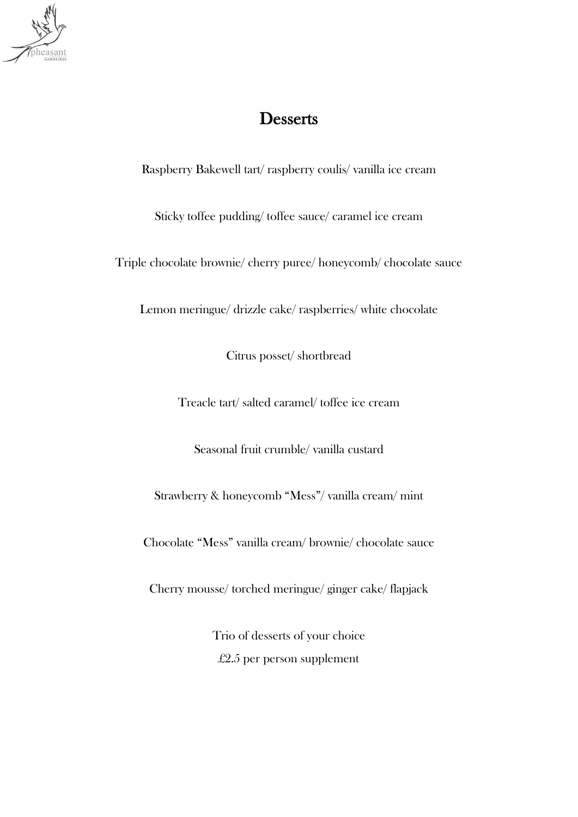

## **Desserts**

Raspberry Bakewell tart/ raspberry coulis/ vanilla ice cream

Sticky toffee pudding/ toffee sauce/ caramel ice cream

Triple chocolate brownie/ cherry puree/ honeycomb/ chocolate sauce

Lemon meringue/ drizzle cake/ raspberries/ white chocolate

Citrus posset/ shortbread

Treacle tart/ salted caramel/ toffee ice cream

Seasonal fruit crumble/ vanilla custard

Strawberry & honeycomb "Mess"/ vanilla cream/ mint

Chocolate "Mess" vanilla cream/ brownie/ chocolate sauce

Cherry mousse/ torched meringue/ ginger cake/ flapjack

Trio of desserts of your choice £2.5 per person supplement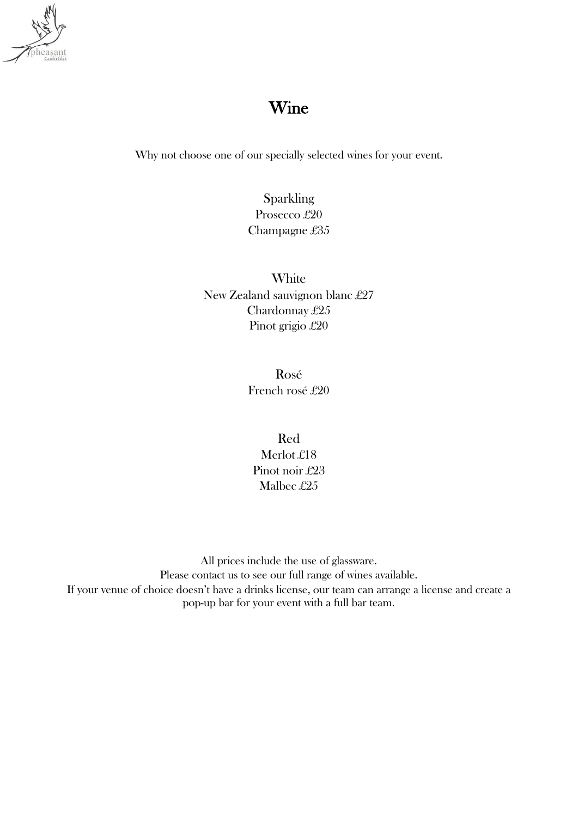

## Wine

Why not choose one of our specially selected wines for your event.

Sparkling Prosecco £20 Champagne £35

**White** New Zealand sauvignon blanc £27 Chardonnay £25 Pinot grigio £20

> Rosé French rosé £20

Red Merlot £18 Pinot noir £23 Malbec £25

All prices include the use of glassware. Please contact us to see our full range of wines available. If your venue of choice doesn't have a drinks license, our team can arrange a license and create a pop-up bar for your event with a full bar team.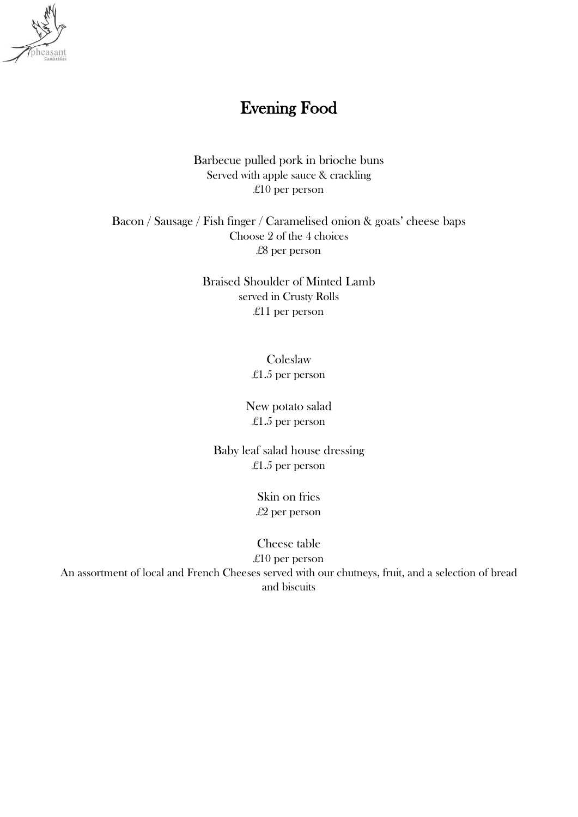

## Evening Food

Barbecue pulled pork in brioche buns Served with apple sauce & crackling £10 per person

Bacon / Sausage / Fish finger / Caramelised onion & goats' cheese baps Choose 2 of the 4 choices £8 per person

> Braised Shoulder of Minted Lamb served in Crusty Rolls £11 per person

> > **Coleslaw** £1.5 per person

New potato salad £1.5 per person

Baby leaf salad house dressing £1.5 per person

> Skin on fries £2 per person

Cheese table £10 per person An assortment of local and French Cheeses served with our chutneys, fruit, and a selection of bread and biscuits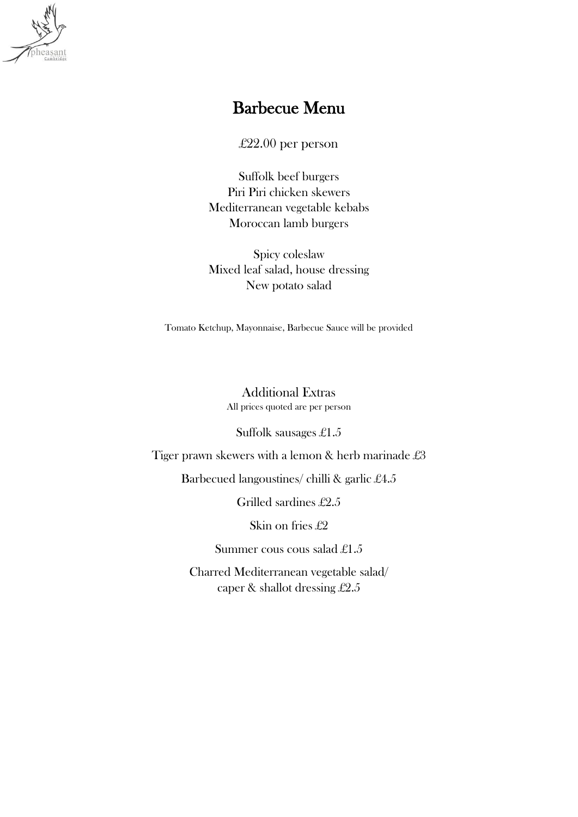

### Barbecue Menu

£22.00 per person

Suffolk beef burgers Piri Piri chicken skewers Mediterranean vegetable kebabs Moroccan lamb burgers

Spicy coleslaw Mixed leaf salad, house dressing New potato salad

Tomato Ketchup, Mayonnaise, Barbecue Sauce will be provided

Additional Extras All prices quoted are per person

Suffolk sausages £1.5

Tiger prawn skewers with a lemon & herb marinade £3

Barbecued langoustines/ chilli & garlic £4.5

Grilled sardines £2.5

Skin on fries £2

Summer cous cous salad £1.5

Charred Mediterranean vegetable salad/ caper & shallot dressing £2.5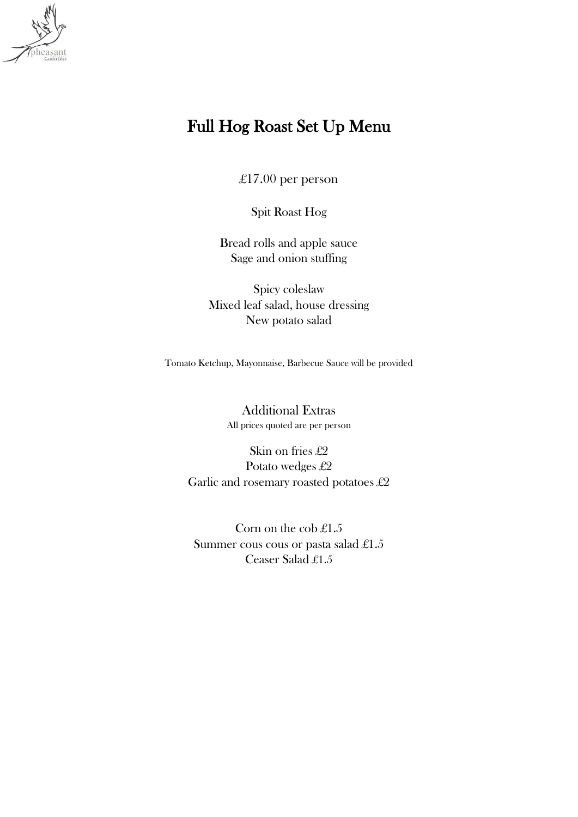

# Full Hog Roast Set Up Menu

£17.00 per person

Spit Roast Hog

Bread rolls and apple sauce Sage and onion stuffing

Spicy coleslaw Mixed leaf salad, house dressing New potato salad

Tomato Ketchup, Mayonnaise, Barbecue Sauce will be provided

Additional Extras All prices quoted are per person

Skin on fries £2 Potato wedges £2 Garlic and rosemary roasted potatoes £2

Corn on the cob £1.5 Summer cous cous or pasta salad £1.5 Ceaser Salad £1.5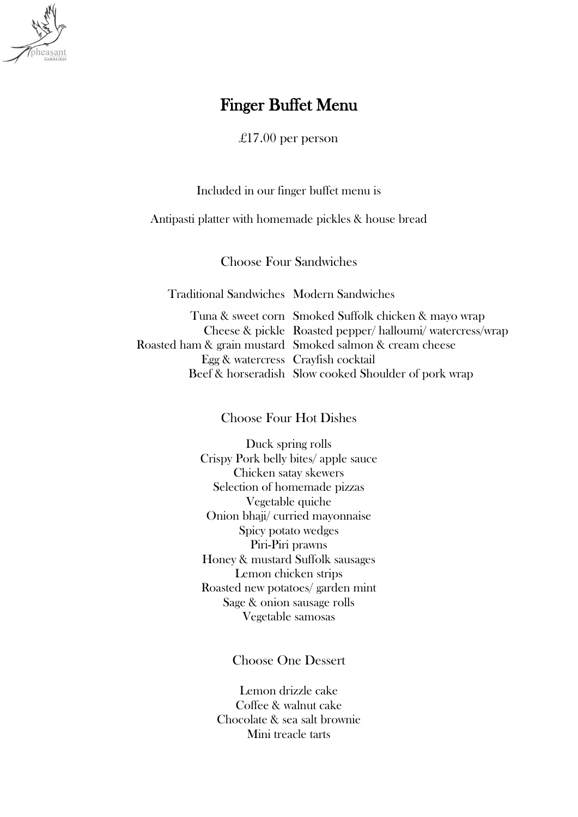

### Finger Buffet Menu

£17.00 per person

Included in our finger buffet menu is

Antipasti platter with homemade pickles & house bread

Choose Four Sandwiches

Traditional Sandwiches Modern Sandwiches

Tuna & sweet corn Smoked Suffolk chicken & mayo wrap Cheese & pickle Roasted pepper/ halloumi/ watercress/wrap Roasted ham & grain mustard Smoked salmon & cream cheese Egg & watercress Crayfish cocktail Beef & horseradish Slow cooked Shoulder of pork wrap

Choose Four Hot Dishes

Duck spring rolls Crispy Pork belly bites/ apple sauce Chicken satay skewers Selection of homemade pizzas Vegetable quiche Onion bhaji/ curried mayonnaise Spicy potato wedges Piri-Piri prawns Honey & mustard Suffolk sausages Lemon chicken strips Roasted new potatoes/ garden mint Sage & onion sausage rolls Vegetable samosas

Choose One Dessert

Lemon drizzle cake Coffee & walnut cake Chocolate & sea salt brownie Mini treacle tarts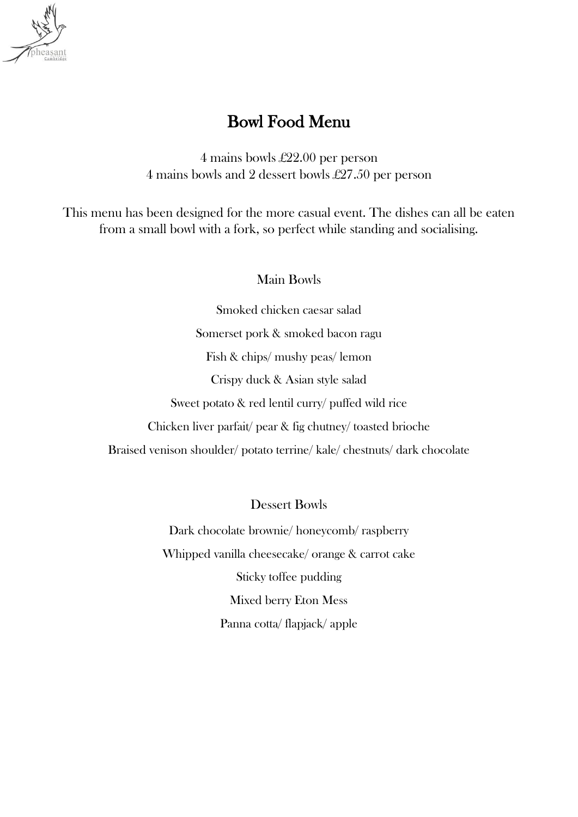

# Bowl Food Menu

4 mains bowls £22.00 per person 4 mains bowls and 2 dessert bowls £27.50 per person

This menu has been designed for the more casual event. The dishes can all be eaten from a small bowl with a fork, so perfect while standing and socialising.

### Main Bowls

Smoked chicken caesar salad Somerset pork & smoked bacon ragu Fish & chips/ mushy peas/ lemon Crispy duck & Asian style salad Sweet potato & red lentil curry/ puffed wild rice Chicken liver parfait/ pear & fig chutney/ toasted brioche Braised venison shoulder/ potato terrine/ kale/ chestnuts/ dark chocolate

Dessert Bowls

Dark chocolate brownie/ honeycomb/ raspberry Whipped vanilla cheesecake/ orange & carrot cake Sticky toffee pudding Mixed berry Eton Mess Panna cotta/ flapjack/ apple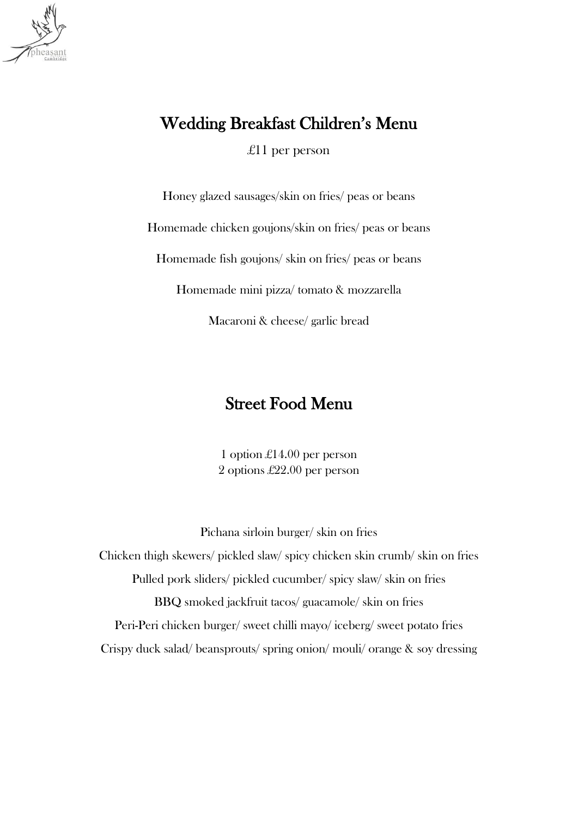

# Wedding Breakfast Children's Menu

£11 per person

Honey glazed sausages/skin on fries/ peas or beans

Homemade chicken goujons/skin on fries/ peas or beans

Homemade fish goujons/ skin on fries/ peas or beans

Homemade mini pizza/ tomato & mozzarella

Macaroni & cheese/ garlic bread

## Street Food Menu

1 option £14.00 per person 2 options £22.00 per person

Pichana sirloin burger/ skin on fries Chicken thigh skewers/ pickled slaw/ spicy chicken skin crumb/ skin on fries Pulled pork sliders/ pickled cucumber/ spicy slaw/ skin on fries BBQ smoked jackfruit tacos/ guacamole/ skin on fries Peri-Peri chicken burger/ sweet chilli mayo/ iceberg/ sweet potato fries Crispy duck salad/ beansprouts/ spring onion/ mouli/ orange & soy dressing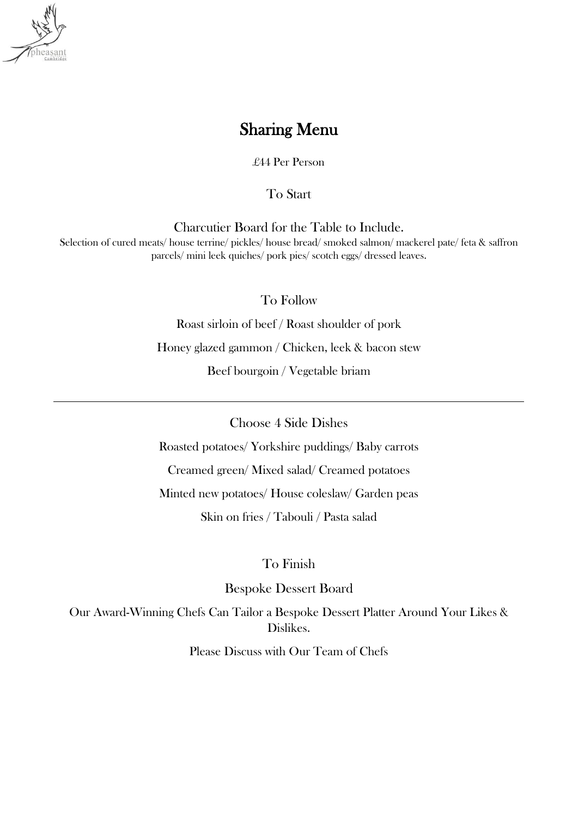

## Sharing Menu

£44 Per Person

To Start

Charcutier Board for the Table to Include.

Selection of cured meats/ house terrine/ pickles/ house bread/ smoked salmon/ mackerel pate/ feta & saffron parcels/ mini leek quiches/ pork pies/ scotch eggs/ dressed leaves.

To Follow

Roast sirloin of beef / Roast shoulder of pork Honey glazed gammon / Chicken, leek & bacon stew Beef bourgoin / Vegetable briam

Choose 4 Side Dishes

Roasted potatoes/ Yorkshire puddings/ Baby carrots

Creamed green/ Mixed salad/ Creamed potatoes

Minted new potatoes/ House coleslaw/ Garden peas

Skin on fries / Tabouli / Pasta salad

To Finish

Bespoke Dessert Board

Our Award-Winning Chefs Can Tailor a Bespoke Dessert Platter Around Your Likes & Dislikes.

Please Discuss with Our Team of Chefs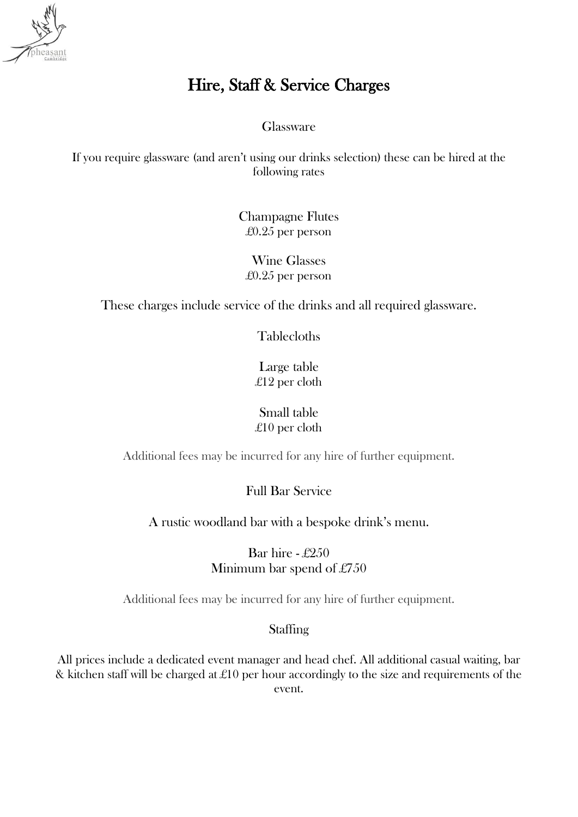

# Hire, Staff & Service Charges

Glassware

If you require glassware (and aren't using our drinks selection) these can be hired at the following rates

> Champagne Flutes £0.25 per person

Wine Glasses £0.25 per person

These charges include service of the drinks and all required glassware.

Tablecloths

Large table £12 per cloth

Small table £10 per cloth

Additional fees may be incurred for any hire of further equipment.

Full Bar Service

A rustic woodland bar with a bespoke drink's menu.

Bar hire - £250 Minimum bar spend of £750

Additional fees may be incurred for any hire of further equipment.

#### **Staffing**

All prices include a dedicated event manager and head chef. All additional casual waiting, bar & kitchen staff will be charged at £10 per hour accordingly to the size and requirements of the event.